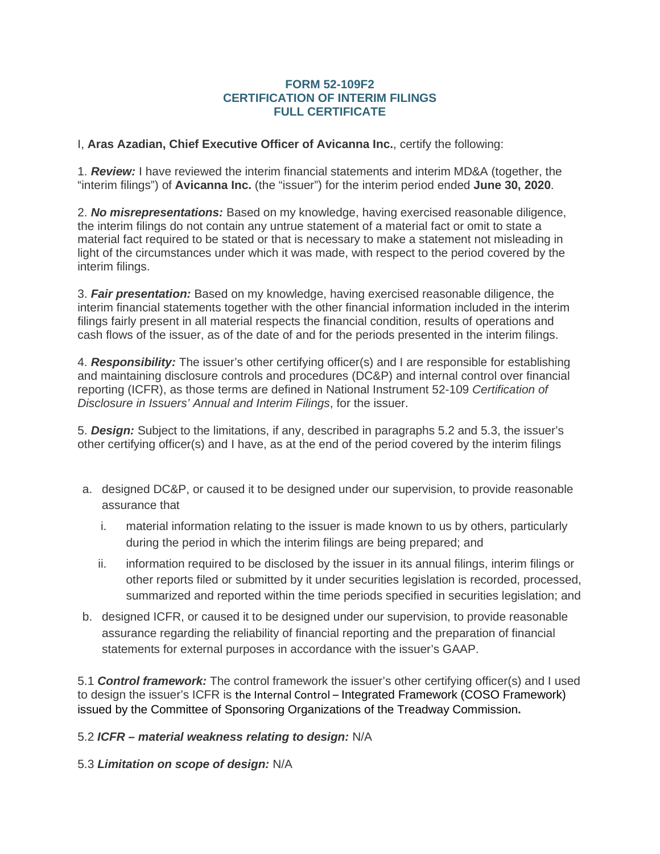## **FORM 52-109F2 CERTIFICATION OF INTERIM FILINGS FULL CERTIFICATE**

I, **Aras Azadian, Chief Executive Officer of Avicanna Inc.**, certify the following:

1. *Review:* I have reviewed the interim financial statements and interim MD&A (together, the "interim filings") of **Avicanna Inc.** (the "issuer") for the interim period ended **June 30, 2020**.

2. *No misrepresentations:* Based on my knowledge, having exercised reasonable diligence, the interim filings do not contain any untrue statement of a material fact or omit to state a material fact required to be stated or that is necessary to make a statement not misleading in light of the circumstances under which it was made, with respect to the period covered by the interim filings.

3. *Fair presentation:* Based on my knowledge, having exercised reasonable diligence, the interim financial statements together with the other financial information included in the interim filings fairly present in all material respects the financial condition, results of operations and cash flows of the issuer, as of the date of and for the periods presented in the interim filings.

4. *Responsibility:* The issuer's other certifying officer(s) and I are responsible for establishing and maintaining disclosure controls and procedures (DC&P) and internal control over financial reporting (ICFR), as those terms are defined in National Instrument 52-109 *Certification of Disclosure in Issuers' Annual and Interim Filings*, for the issuer.

5. *Design:* Subject to the limitations, if any, described in paragraphs 5.2 and 5.3, the issuer's other certifying officer(s) and I have, as at the end of the period covered by the interim filings

- a. designed DC&P, or caused it to be designed under our supervision, to provide reasonable assurance that
	- i. material information relating to the issuer is made known to us by others, particularly during the period in which the interim filings are being prepared; and
	- ii. information required to be disclosed by the issuer in its annual filings, interim filings or other reports filed or submitted by it under securities legislation is recorded, processed, summarized and reported within the time periods specified in securities legislation; and
- b. designed ICFR, or caused it to be designed under our supervision, to provide reasonable assurance regarding the reliability of financial reporting and the preparation of financial statements for external purposes in accordance with the issuer's GAAP.

5.1 *Control framework:* The control framework the issuer's other certifying officer(s) and I used to design the issuer's ICFR is the Internal Control – Integrated Framework (COSO Framework) issued by the Committee of Sponsoring Organizations of the Treadway Commission**.**

5.2 *ICFR – material weakness relating to design:* N/A

5.3 *Limitation on scope of design:* N/A